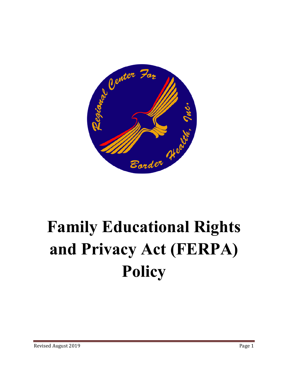

## **Family Educational Rights and Privacy Act (FERPA) Policy**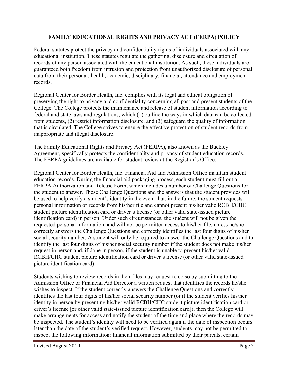## **FAMILY EDUCATIONAL RIGHTS AND PRIVACY ACT (FERPA) POLICY**

Federal statutes protect the privacy and confidentiality rights of individuals associated with any educational institution. These statutes regulate the gathering, disclosure and circulation of records of any person associated with the educational institution. As such, these individuals are guaranteed both freedom from intrusion and protection from unauthorized disclosure of personal data from their personal, health, academic, disciplinary, financial, attendance and employment records.

Regional Center for Border Health, Inc. complies with its legal and ethical obligation of preserving the right to privacy and confidentiality concerning all past and present students of the College. The College protects the maintenance and release of student information according to federal and state laws and regulations, which (1) outline the ways in which data can be collected from students, (2) restrict information disclosure, and (3) safeguard the quality of information that is circulated. The College strives to ensure the effective protection of student records from inappropriate and illegal disclosure.

The Family Educational Rights and Privacy Act (FERPA), also known as the Buckley Agreement, specifically protects the confidentiality and privacy of student education records. The FERPA guidelines are available for student review at the Registrar's Office.

Regional Center for Border Health, Inc. Financial Aid and Admission Office maintain student education records. During the financial aid packaging process, each student must fill out a FERPA Authorization and Release Form, which includes a number of Challenge Questions for the student to answer. These Challenge Questions and the answers that the student provides will be used to help verify a student's identity in the event that, in the future, the student requests personal information or records from his/her file and cannot present his/her valid RCBH/CHC student picture identification card or driver's license (or other valid state-issued picture identification card) in person. Under such circumstances, the student will not be given the requested personal information, and will not be permitted access to his/her file, unless he/she correctly answers the Challenge Questions and correctly identifies the last four digits of his/her social security number. A student will only be required to answer the Challenge Questions and to identify the last four digits of his/her social security number if the student does not make his/her request in person and, if done in person, if the student is unable to present his/her valid RCBH/CHC student picture identification card or driver's license (or other valid state-issued picture identification card).

Students wishing to review records in their files may request to do so by submitting to the Admission Office or Financial Aid Director a written request that identifies the records he/she wishes to inspect. If the student correctly answers the Challenge Questions and correctly identifies the last four digits of his/her social security number (or if the student verifies his/her identity in person by presenting his/her valid RCBH/CHC student picture identification card or driver's license [or other valid state-issued picture identification card]), then the College will make arrangements for access and notify the student of the time and place where the records may be inspected. The student's identity will need to be verified again if the date of inspection occurs later than the date of the student's verified request. However, students may not be permitted to inspect the following information: financial information submitted by their parents, certain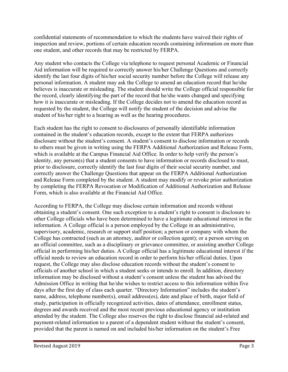confidential statements of recommendation to which the students have waived their rights of inspection and review, portions of certain education records containing information on more than one student, and other records that may be restricted by FERPA.

Any student who contacts the College via telephone to request personal Academic or Financial Aid information will be required to correctly answer his/her Challenge Questions and correctly identify the last four digits of his/her social security number before the College will release any personal information. A student may ask the College to amend an education record that he/she believes is inaccurate or misleading. The student should write the College official responsible for the record, clearly identifying the part of the record that he/she wants changed and specifying how it is inaccurate or misleading. If the College decides not to amend the education record as requested by the student, the College will notify the student of the decision and advise the student of his/her right to a hearing as well as the hearing procedures.

Each student has the right to consent to disclosures of personally identifiable information contained in the student's education records, except to the extent that FERPA authorizes disclosure without the student's consent. A student's consent to disclose information or records to others must be given in writing using the FERPA Additional Authorization and Release Form, which is available at the Campus Financial Aid Office. In order to help verify the person's identity, any person(s) that a student consents to have information or records disclosed to must, prior to disclosure, correctly identify the last four digits of their social security number, and correctly answer the Challenge Questions that appear on the FERPA Additional Authorization and Release Form completed by the student. A student may modify or revoke prior authorization by completing the FERPA Revocation or Modification of Additional Authorization and Release Form, which is also available at the Financial Aid Office.

According to FERPA, the College may disclose certain information and records without obtaining a student's consent. One such exception to a student's right to consent is disclosure to other College officials who have been determined to have a legitimate educational interest in the information. A College official is a person employed by the College in an administrative, supervisory, academic, research or support staff position; a person or company with whom the College has contracted (such as an attorney, auditor or collection agent); or a person serving on an official committee, such as a disciplinary or grievance committee, or assisting another College official in performing his/her duties. A College official has a legitimate educational interest if the official needs to review an education record in order to perform his/her official duties. Upon request, the College may also disclose education records without the student's consent to officials of another school in which a student seeks or intends to enroll. In addition, directory information may be disclosed without a student's consent unless the student has advised the Admission Office in writing that he/she wishes to restrict access to this information within five days after the first day of class each quarter. "Directory Information" includes the student's name, address, telephone number(s), email address(es), date and place of birth, major field of study, participation in officially recognized activities, dates of attendance, enrollment status, degrees and awards received and the most recent previous educational agency or institution attended by the student. The College also reserves the right to disclose financial aid-related and payment-related information to a parent of a dependent student without the student's consent, provided that the parent is named on and included his/her information on the student's Free